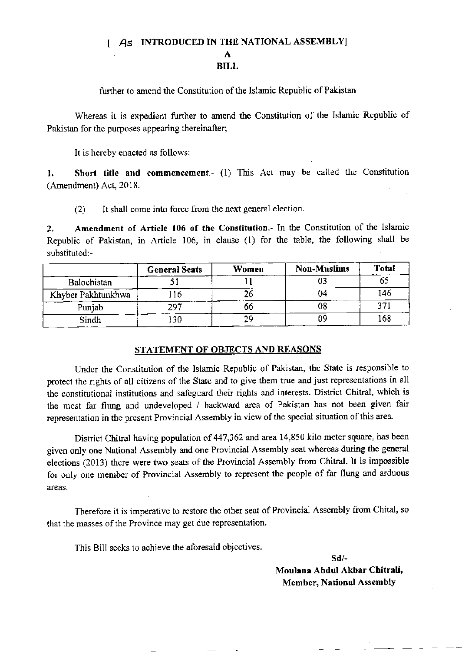## $\boldsymbol{A}$ S INTRODUCED IN THE NATIONAL ASSEMBLY

A BILL

further to amend the Constitution of the Islamic Republic of Pakistan

Whereas it is expedient further to amend the Constitution of the Islamic Republic of Pakistan for the purposes appearing thereinafter;

It is hereby enacted as follows:

1. Short title and commencement.- (1) This Act may be called the Constitution (Amendment) Act, 2018.

 $(2)$  It shall come into force from the next general election.

2. Amendment of Article 106 of the Constitution.- In the Constitution of the Islamic Republic of Pakistan, in Article 106, in clause (l) for the table, the following shall be substituted:-

|                    | <b>General Seats</b> | Women | <b>Non-Muslims</b> | Total |
|--------------------|----------------------|-------|--------------------|-------|
| Balochistan        |                      |       |                    |       |
| Khyber Pakhtunkhwa | 16                   |       | 04                 | 146   |
| Punjab             | 297                  | 00    | 08                 | າາ    |
| Sindh              | 130                  | 29    |                    | 168   |

## STATEMENT OF OBJECTS AND REASONS

Undcr the Constitution of the Islamic Repubtic of Pakistan, the State is responsible to protect the rights of all citizens of the State and to give them true and just representations in all the constitutional institutions and safeguard their rights and interests. District Chitral, which is the most far flung and undeveloped / backward area of Pakistan has not been given fair representation in the present Provincial Assembly in view of the special situation of this area.

District Chitral having population of 447,362 and area 14,850 kilo meter square, has been given only one National Assembly and one Provincial Assembly seat whercas during the general elections (2013) there were two seats of the Provincial Assembly from Chitral. It is impossible for only one member of Provincial Assembly to represent the people of far flung and arduous areas,

Therefore it is imperative to restore the other seat of Provincial Assembly from Chital, so that the masses of the Province may get due representation.

This Bill secks to achieve the aforesaid objectives

sd/- Moulana Abdul Akbor Chitrali, Member, National Assembly